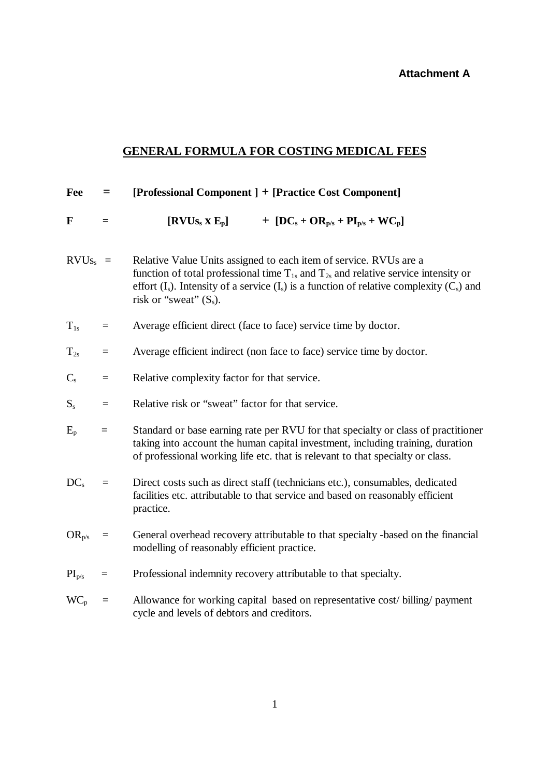## **Attachment A**

## **GENERAL FORMULA FOR COSTING MEDICAL FEES**

| Fee                     | $=$      | [Professional Component ] + [Practice Cost Component]                                                                                                                                                                                                                                             |
|-------------------------|----------|---------------------------------------------------------------------------------------------------------------------------------------------------------------------------------------------------------------------------------------------------------------------------------------------------|
| F                       | $=$      | $[\mathrm{RVUs}_{\mathrm{s}} \times \mathrm{E}_{\mathrm{p}}]$<br>+ $[DC_s + OR_{p/s} + PI_{p/s} + WC_p]$                                                                                                                                                                                          |
| $RVUs_s =$              |          | Relative Value Units assigned to each item of service. RVUs are a<br>function of total professional time $T_{1s}$ and $T_{2s}$ and relative service intensity or<br>effort $(I_s)$ . Intensity of a service $(I_s)$ is a function of relative complexity $(C_s)$ and<br>risk or "sweat" $(S_s)$ . |
| $T_{1s}$                | $=$      | Average efficient direct (face to face) service time by doctor.                                                                                                                                                                                                                                   |
| $T_{2s}$                | $\equiv$ | Average efficient indirect (non face to face) service time by doctor.                                                                                                                                                                                                                             |
| $C_{s}$                 | $=$      | Relative complexity factor for that service.                                                                                                                                                                                                                                                      |
| $\mathbf{S}_\mathrm{s}$ | $=$      | Relative risk or "sweat" factor for that service.                                                                                                                                                                                                                                                 |
| $E_p$                   | $=$      | Standard or base earning rate per RVU for that specialty or class of practitioner<br>taking into account the human capital investment, including training, duration<br>of professional working life etc. that is relevant to that specialty or class.                                             |
| $DC_s$                  | $\equiv$ | Direct costs such as direct staff (technicians etc.), consumables, dedicated<br>facilities etc. attributable to that service and based on reasonably efficient<br>practice.                                                                                                                       |
| $OR_{p/s}$              | $=$      | General overhead recovery attributable to that specialty -based on the financial<br>modelling of reasonably efficient practice.                                                                                                                                                                   |
| $PI_{p/s}$              | $=$      | Professional indemnity recovery attributable to that specialty.                                                                                                                                                                                                                                   |
| $WC_p$                  | $=$      | Allowance for working capital based on representative cost/billing/payment<br>cycle and levels of debtors and creditors.                                                                                                                                                                          |